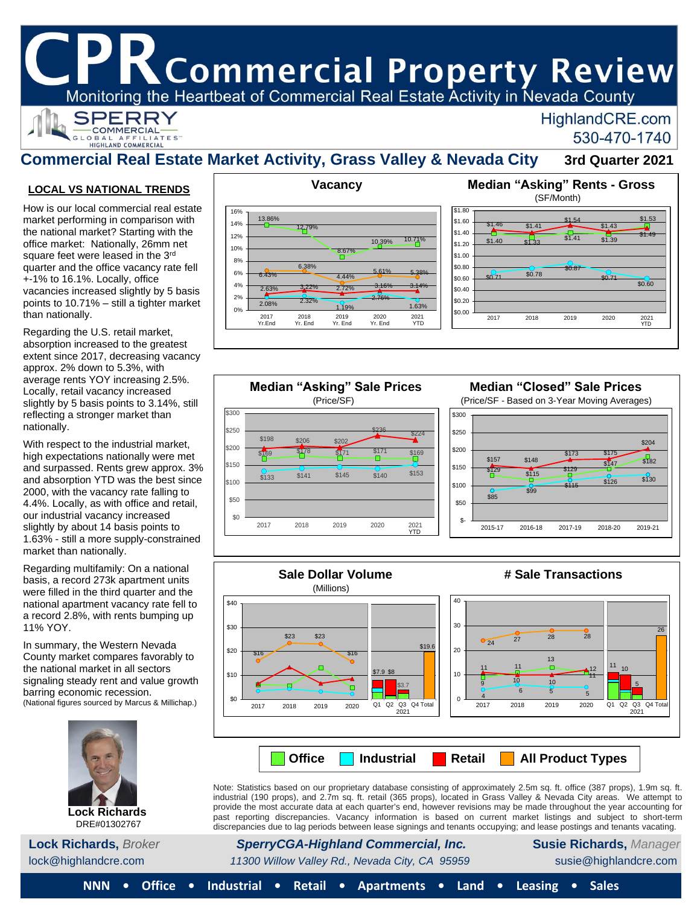# K Commercial Property Review

Monitoring the Heartbeat of Commercial Real Estate Activity in Nevada County



## HighlandCRE.com 530-470-1740

# **Commercial Real Estate Market Activity, Grass Valley & Nevada City 3rd Quarter 2021**

 $\frac{1}{1}$  \$182

\$204

 $\frac{6}{115}$  \$126 \$130

\$173 \$175

### <u>**LOCAL VS NATIONAL TRENDS**</u>

How is our local commercial real estate market performing in comparison with the national market? Starting with the office market: Nationally, 26mm net square feet were leased in the 3rd quarter and the office vacancy rate fell +-1% to 16.1%. Locally, office vacancies increased slightly by 5 basis points to 10.71% – still a tighter market than nationally.

Locally, retail vacancy increased slightly by 5 basis points to 3.14%, still reflecting a stronger market than nationally. Regarding the U.S. retail market, absorption increased to the greatest extent since 2017, decreasing vacancy approx. 2% down to 5.3%, with average rents YOY increasing 2.5%.

With respect to the industrial market, high expectations nationally were met and surpassed. Rents grew approx. 3% and absorption YTD was the best since  $2000$ , with the vacancy rate falling to 4.4%. Locally, as with office and retail, our industrial vacancy increased slightly by about 14 basis points to 1.63% - still a more supply-constrained market than nationally.

Regarding multifamily: On a national basis, a record 273k apartment units were filled in the third quarter and the national apartment vacancy rate fell to a record 2.8%, with rents bumping up 11% YOY.

 (National figures sourced by Marcus & Millichap.) In summary, the Western Nevada County market compares favorably to the national market in all sectors signaling steady rent and value growth barring economic recession.



DRE#01302767





#### **Sale Dollar Volume # Sale Transactions** (Millions) 40 \$40 30 **ድ30** 26 \$23 \$23 <sup>24</sup> <sup>27</sup> <sup>28</sup> <sup>28</sup> \$19.6 \$20 20 \$16 \$16 13 Ö  $11_{10}$ n. 11 11 12 \$7.9 \$8 \$10 10 11  $10 \t 10$ 9 5  $\Box$ ō \$3.7 6 5 5 4 **\$0** 0 0 Q1 Q2 Q3 Q4 Total Q1 Q2 Q3 Q4 Total 2017 2018 2019 2020 2017 2018 2019 2020 2021 2021 **Office Industrial Retail All Product Types**

Note: Statistics based on our proprietary database consisting of approximately 2.5m sq. ft. office (387 props), 1.9m sq. ft. industrial (190 props), and 2.7m sq. ft. retail (365 props), located in Grass Valley & Nevada City areas. We attempt to provide the most accurate data at each quarter's end, however revisions may be made throughout the year accounting for past reporting discrepancies. Vacancy information is based on current market listings and subject to short-term discrepancies due to lag periods between lease signings and tenants occupying; and lease postings and tenants vacating.

**Lock Richards,** *Broker SperryCGA-Highland Commercial, Inc.* **Susie Richards,** *Manager*

lock@highlandcre.com *11300 Willow Valley Rd., Nevada City, CA 95959* susie@highlandcre.com

**NNN • Office • Industrial • Retail • Apartments • Land • Leasing • Sales**